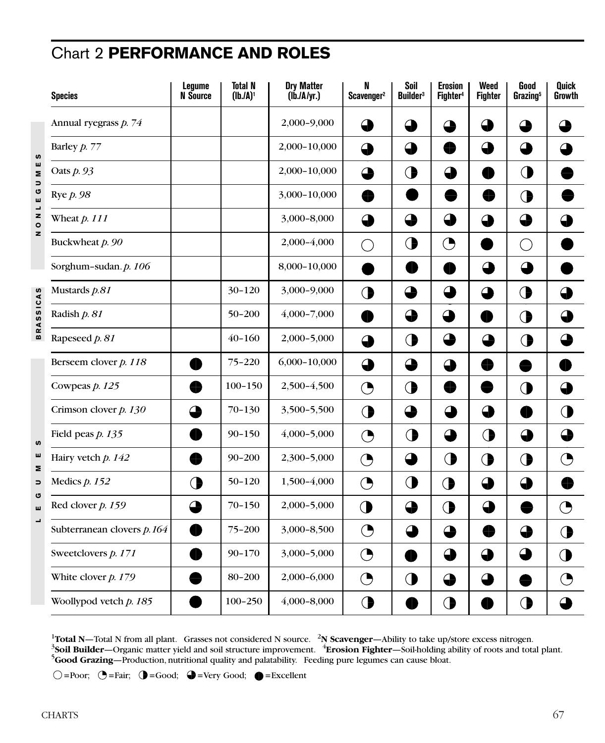## Chart 2 **PERFORMANCE AND ROLES**

|                          | <b>Species</b>             | Lequme<br><b>N</b> Source | Total N<br>(lb./A) <sup>1</sup> | <b>Dry Matter</b><br>(lb.lA/yr.) | N<br>Scavenger <sup>2</sup> | Soil<br><b>Builder</b> <sup>3</sup> | <b>Erosion</b><br>Fighter <sup>4</sup> | Weed<br><b>Fighter</b> | Good<br>Grazing <sup>5</sup> | <b>Quick</b><br>Growth |
|--------------------------|----------------------------|---------------------------|---------------------------------|----------------------------------|-----------------------------|-------------------------------------|----------------------------------------|------------------------|------------------------------|------------------------|
|                          | Annual ryegrass p. 74      |                           |                                 | 2,000-9,000                      | Œ                           | €                                   | a.                                     | ◕                      | 4                            |                        |
| S                        | Barley $p. 77$             |                           |                                 | 2,000-10,000                     | ◕                           | ⊕                                   |                                        | ⊕                      | ⊕                            | 企                      |
| ш<br>Σ<br>っ              | Oats $p.93$                |                           |                                 | 2,000-10,000                     | ◕                           | $\bigcirc$                          | 4                                      | H                      | ◑                            |                        |
| ပ<br>ш                   | Rye <i>p.</i> 98           |                           |                                 | 3,000-10,000                     |                             | H                                   | ۲D                                     | €                      | $\bigcirc$                   |                        |
| $\frac{1}{z}$<br>$\circ$ | Wheat $p. 111$             |                           |                                 | 3,000-8,000                      | ♦                           | ➊                                   | ➊                                      | ⊕                      | ♦                            |                        |
| z                        | Buckwheat p. 90            |                           |                                 | 2,000-4,000                      | ◯                           | $\bigcirc$                          | ◔                                      | Ð                      | $(\ )$                       |                        |
|                          | Sorghum-sudan. p. 106      |                           |                                 | 8,000-10,000                     | æ                           | €                                   | €                                      | ⊕                      | ♦                            |                        |
|                          | Mustards p.81              |                           | 30-120                          | 3,000-9,000                      | $\bigcirc$                  | $\mathbf \Theta$                    | ⊕                                      | ♦                      | $\bigcirc$                   | ➊                      |
| <b>BRASSICAS</b>         | Radish p. 81               |                           | 50-200                          | $4,000 - 7,000$                  |                             |                                     | ◕                                      | Ð                      | $\bigcirc$                   | ð                      |
|                          | Rapeseed p. 81             |                           | $40 - 160$                      | 2,000-5,000                      | ➊                           | ◑                                   | ♦                                      | ♦                      | $\bigodot$                   | ◕                      |
|                          | Berseem clover p. 118      | 42                        | 75-220                          | 6,000-10,000                     | ♦                           | $\bigoplus$                         | 4                                      |                        | ♠                            |                        |
|                          | Cowpeas $p. 125$           |                           | $100 - 150$                     | 2,500-4,500                      | ◔                           | $\bigodot$                          | ₩                                      | HÞ                     | $\bigcirc$                   | ➊                      |
|                          | Crimson clover $p. 130$    | ◠                         | $70 - 130$                      | 3,500-5,500                      | $\bigodot$                  | ⊕                                   | ➊                                      | ◕                      | HÞ                           | ◑                      |
| S                        | Field peas $p. 135$        |                           | $90 - 150$                      | $4,000 - 5,000$                  | ◔                           | ◑                                   | ➊                                      | ◑                      |                              | ➊                      |
| ш<br>Σ                   | Hairy vetch p. 142         |                           | $90 - 200$                      | 2,300-5,000                      | ◔                           | $\mathbf \Theta$                    | ◑                                      | ◑                      | $\bigodot$                   | ◔                      |
| $\Rightarrow$<br>G       | Medics $p. 152$            | ◑                         | $50 - 120$                      | 1,500-4,000                      | $\bigodot$                  | $\bigodot$                          | ◑                                      | ⊕                      | ♦                            | ₩                      |
| ш                        | Red clover $p. 159$        | △                         | $70 - 150$                      | 2,000-5,000                      | $\bigodot$                  | ➊                                   | $\bigodot$                             | ↔                      | æ                            | ◔                      |
| J,                       | Subterranean clovers p.164 | Æ                         | 75-200                          | 3,000-8,500                      | $\bigodot$                  | 企                                   | ⊕                                      | 4                      | ♦                            | ◑                      |
|                          | Sweetclovers p. 171        |                           | $90 - 170$                      | 3,000-5,000                      | ◔                           | ð                                   | ◕                                      | ◕                      | 4                            | ◑                      |
|                          | White clover $p. 179$      |                           | 80-200                          | 2,000-6,000                      | $\bigodot$                  | $\bigcirc$                          |                                        | 4                      | H                            | ◔                      |
|                          | Woollypod vetch $p. 185$   |                           | $100 - 250$                     | $4,000 - 8,000$                  | $\bigodot$                  | ID                                  | $\bigcirc$                             |                        | $\bigodot$                   | $\bullet$              |

<sup>1</sup>Total N—Total N from all plant. Grasses not considered N source. <sup>2</sup>N Scavenger—Ability to take up/store excess nitrogen.<br><sup>3</sup>Soil Builder—Organic matter yield and soil structure improvement. <sup>4</sup>Erosion Fighter—Soil-hold <sup>5</sup>Good Grazing—Production, nutritional quality and palatability. Feeding pure legumes can cause bloat.

 $\bigcirc$ =Poor;  $\bigcirc$ =Fair;  $\bigcirc$ =Good;  $\bigcirc$ =Very Good;  $\bigcirc$ =Excellent